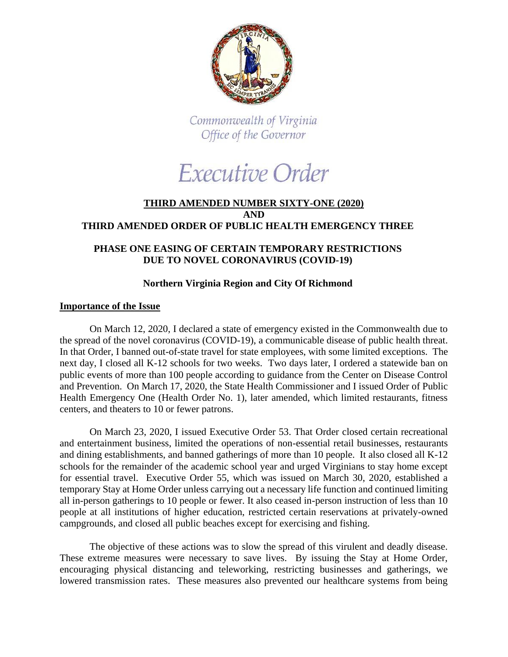

Commonwealth of Virginia Office of the Governor

Executive Order

## **THIRD AMENDED NUMBER SIXTY-ONE (2020) AND THIRD AMENDED ORDER OF PUBLIC HEALTH EMERGENCY THREE**

# **PHASE ONE EASING OF CERTAIN TEMPORARY RESTRICTIONS DUE TO NOVEL CORONAVIRUS (COVID-19)**

## **Northern Virginia Region and City Of Richmond**

### **Importance of the Issue**

On March 12, 2020, I declared a state of emergency existed in the Commonwealth due to the spread of the novel coronavirus (COVID-19), a communicable disease of public health threat. In that Order, I banned out-of-state travel for state employees, with some limited exceptions. The next day, I closed all K-12 schools for two weeks. Two days later, I ordered a statewide ban on public events of more than 100 people according to guidance from the Center on Disease Control and Prevention. On March 17, 2020, the State Health Commissioner and I issued Order of Public Health Emergency One (Health Order No. 1), later amended, which limited restaurants, fitness centers, and theaters to 10 or fewer patrons.

On March 23, 2020, I issued Executive Order 53. That Order closed certain recreational and entertainment business, limited the operations of non-essential retail businesses, restaurants and dining establishments, and banned gatherings of more than 10 people. It also closed all K-12 schools for the remainder of the academic school year and urged Virginians to stay home except for essential travel. Executive Order 55, which was issued on March 30, 2020, established a temporary Stay at Home Order unless carrying out a necessary life function and continued limiting all in-person gatherings to 10 people or fewer. It also ceased in-person instruction of less than 10 people at all institutions of higher education, restricted certain reservations at privately-owned campgrounds, and closed all public beaches except for exercising and fishing.

The objective of these actions was to slow the spread of this virulent and deadly disease. These extreme measures were necessary to save lives. By issuing the Stay at Home Order, encouraging physical distancing and teleworking, restricting businesses and gatherings, we lowered transmission rates. These measures also prevented our healthcare systems from being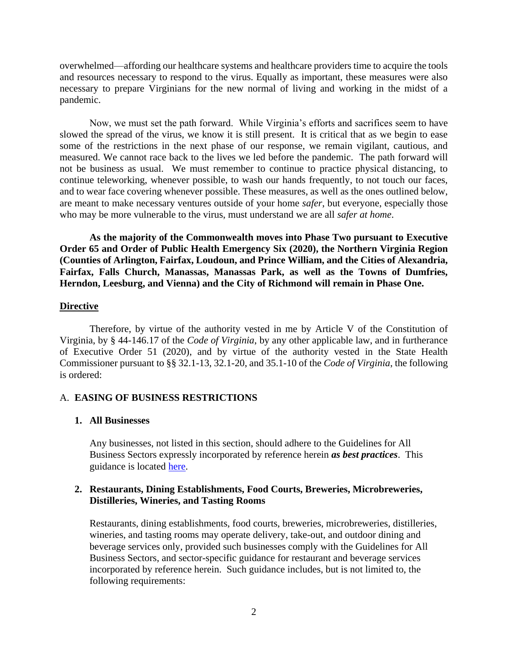overwhelmed—affording our healthcare systems and healthcare providers time to acquire the tools and resources necessary to respond to the virus. Equally as important, these measures were also necessary to prepare Virginians for the new normal of living and working in the midst of a pandemic.

Now, we must set the path forward. While Virginia's efforts and sacrifices seem to have slowed the spread of the virus, we know it is still present. It is critical that as we begin to ease some of the restrictions in the next phase of our response, we remain vigilant, cautious, and measured. We cannot race back to the lives we led before the pandemic. The path forward will not be business as usual. We must remember to continue to practice physical distancing, to continue teleworking, whenever possible, to wash our hands frequently, to not touch our faces, and to wear face covering whenever possible. These measures, as well as the ones outlined below, are meant to make necessary ventures outside of your home *safer*, but everyone, especially those who may be more vulnerable to the virus, must understand we are all *safer at home*.

**As the majority of the Commonwealth moves into Phase Two pursuant to Executive Order 65 and Order of Public Health Emergency Six (2020), the Northern Virginia Region (Counties of Arlington, Fairfax, Loudoun, and Prince William, and the Cities of Alexandria, Fairfax, Falls Church, Manassas, Manassas Park, as well as the Towns of Dumfries, Herndon, Leesburg, and Vienna) and the City of Richmond will remain in Phase One.** 

#### **Directive**

Therefore, by virtue of the authority vested in me by Article V of the Constitution of Virginia, by § 44-146.17 of the *Code of Virginia*, by any other applicable law, and in furtherance of Executive Order 51 (2020), and by virtue of the authority vested in the State Health Commissioner pursuant to §§ 32.1-13, 32.1-20, and 35.1-10 of the *Code of Virginia*, the following is ordered:

### A. **EASING OF BUSINESS RESTRICTIONS**

#### **1. All Businesses**

Any businesses, not listed in this section, should adhere to the Guidelines for All Business Sectors expressly incorporated by reference herein *as best practices*. This guidance is located [here.](https://www.governor.virginia.gov/media/governorvirginiagov/governor-of-virginia/pdf/Virginia-Forward-Phase-One-Business-Sector-Guidelines.pdf)

### **2. Restaurants, Dining Establishments, Food Courts, Breweries, Microbreweries, Distilleries, Wineries, and Tasting Rooms**

Restaurants, dining establishments, food courts, breweries, microbreweries, distilleries, wineries, and tasting rooms may operate delivery, take-out, and outdoor dining and beverage services only, provided such businesses comply with the Guidelines for All Business Sectors, and sector-specific guidance for restaurant and beverage services incorporated by reference herein. Such guidance includes, but is not limited to, the following requirements: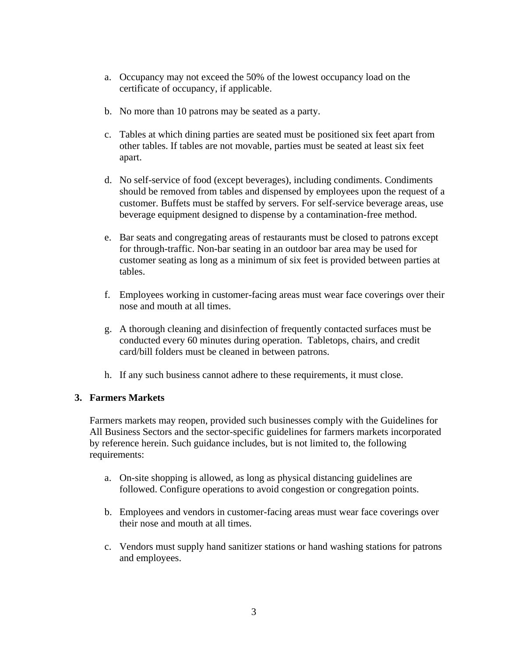- a. Occupancy may not exceed the 50% of the lowest occupancy load on the certificate of occupancy, if applicable.
- b. No more than 10 patrons may be seated as a party.
- c. Tables at which dining parties are seated must be positioned six feet apart from other tables. If tables are not movable, parties must be seated at least six feet apart.
- d. No self-service of food (except beverages), including condiments. Condiments should be removed from tables and dispensed by employees upon the request of a customer. Buffets must be staffed by servers. For self-service beverage areas, use beverage equipment designed to dispense by a contamination-free method.
- e. Bar seats and congregating areas of restaurants must be closed to patrons except for through-traffic. Non-bar seating in an outdoor bar area may be used for customer seating as long as a minimum of six feet is provided between parties at tables.
- f. Employees working in customer-facing areas must wear face coverings over their nose and mouth at all times.
- g. A thorough cleaning and disinfection of frequently contacted surfaces must be conducted every 60 minutes during operation. Tabletops, chairs, and credit card/bill folders must be cleaned in between patrons.
- h. If any such business cannot adhere to these requirements, it must close.

# **3. Farmers Markets**

Farmers markets may reopen, provided such businesses comply with the Guidelines for All Business Sectors and the sector-specific guidelines for farmers markets incorporated by reference herein. Such guidance includes, but is not limited to, the following requirements:

- a. On-site shopping is allowed, as long as physical distancing guidelines are followed. Configure operations to avoid congestion or congregation points.
- b. Employees and vendors in customer-facing areas must wear face coverings over their nose and mouth at all times.
- c. Vendors must supply hand sanitizer stations or hand washing stations for patrons and employees.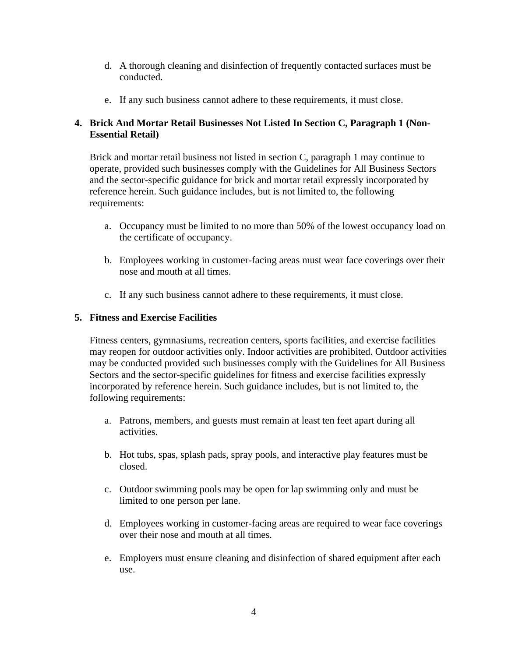- d. A thorough cleaning and disinfection of frequently contacted surfaces must be conducted.
- e. If any such business cannot adhere to these requirements, it must close.

# **4. Brick And Mortar Retail Businesses Not Listed In Section C, Paragraph 1 (Non-Essential Retail)**

Brick and mortar retail business not listed in section C, paragraph 1 may continue to operate, provided such businesses comply with the Guidelines for All Business Sectors and the sector-specific guidance for brick and mortar retail expressly incorporated by reference herein. Such guidance includes, but is not limited to, the following requirements:

- a. Occupancy must be limited to no more than 50% of the lowest occupancy load on the certificate of occupancy.
- b. Employees working in customer-facing areas must wear face coverings over their nose and mouth at all times.
- c. If any such business cannot adhere to these requirements, it must close.

## **5. Fitness and Exercise Facilities**

Fitness centers, gymnasiums, recreation centers, sports facilities, and exercise facilities may reopen for outdoor activities only. Indoor activities are prohibited. Outdoor activities may be conducted provided such businesses comply with the Guidelines for All Business Sectors and the sector-specific guidelines for fitness and exercise facilities expressly incorporated by reference herein. Such guidance includes, but is not limited to, the following requirements:

- a. Patrons, members, and guests must remain at least ten feet apart during all activities.
- b. Hot tubs, spas, splash pads, spray pools, and interactive play features must be closed.
- c. Outdoor swimming pools may be open for lap swimming only and must be limited to one person per lane.
- d. Employees working in customer-facing areas are required to wear face coverings over their nose and mouth at all times.
- e. Employers must ensure cleaning and disinfection of shared equipment after each use.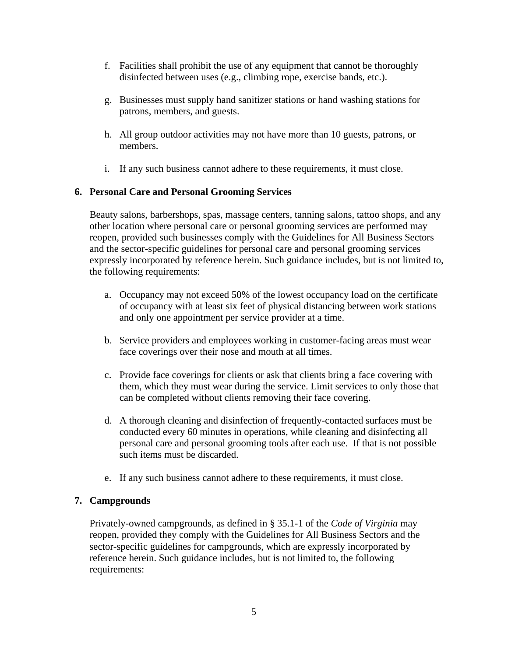- f. Facilities shall prohibit the use of any equipment that cannot be thoroughly disinfected between uses (e.g., climbing rope, exercise bands, etc.).
- g. Businesses must supply hand sanitizer stations or hand washing stations for patrons, members, and guests.
- h. All group outdoor activities may not have more than 10 guests, patrons, or members.
- i. If any such business cannot adhere to these requirements, it must close.

# **6. Personal Care and Personal Grooming Services**

Beauty salons, barbershops, spas, massage centers, tanning salons, tattoo shops, and any other location where personal care or personal grooming services are performed may reopen, provided such businesses comply with the Guidelines for All Business Sectors and the sector-specific guidelines for personal care and personal grooming services expressly incorporated by reference herein. Such guidance includes, but is not limited to, the following requirements:

- a. Occupancy may not exceed 50% of the lowest occupancy load on the certificate of occupancy with at least six feet of physical distancing between work stations and only one appointment per service provider at a time.
- b. Service providers and employees working in customer-facing areas must wear face coverings over their nose and mouth at all times.
- c. Provide face coverings for clients or ask that clients bring a face covering with them, which they must wear during the service. Limit services to only those that can be completed without clients removing their face covering.
- d. A thorough cleaning and disinfection of frequently-contacted surfaces must be conducted every 60 minutes in operations, while cleaning and disinfecting all personal care and personal grooming tools after each use. If that is not possible such items must be discarded.
- e. If any such business cannot adhere to these requirements, it must close.

# **7. Campgrounds**

Privately-owned campgrounds, as defined in § 35.1-1 of the *Code of Virginia* may reopen, provided they comply with the Guidelines for All Business Sectors and the sector-specific guidelines for campgrounds, which are expressly incorporated by reference herein. Such guidance includes, but is not limited to, the following requirements: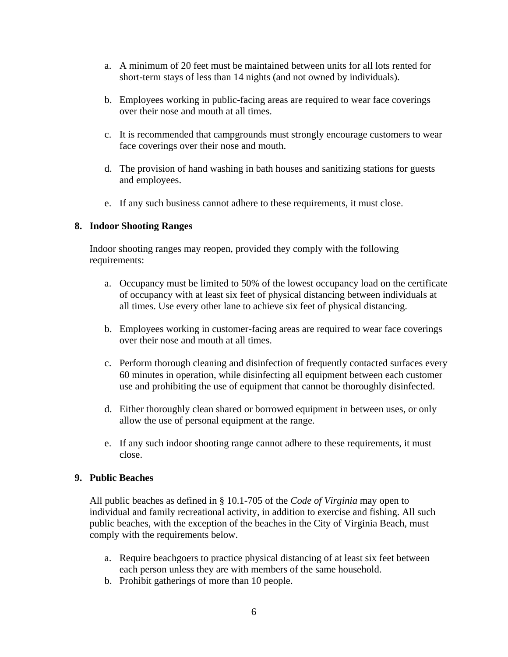- a. A minimum of 20 feet must be maintained between units for all lots rented for short-term stays of less than 14 nights (and not owned by individuals).
- b. Employees working in public-facing areas are required to wear face coverings over their nose and mouth at all times.
- c. It is recommended that campgrounds must strongly encourage customers to wear face coverings over their nose and mouth.
- d. The provision of hand washing in bath houses and sanitizing stations for guests and employees.
- e. If any such business cannot adhere to these requirements, it must close.

## **8. Indoor Shooting Ranges**

Indoor shooting ranges may reopen, provided they comply with the following requirements:

- a. Occupancy must be limited to 50% of the lowest occupancy load on the certificate of occupancy with at least six feet of physical distancing between individuals at all times. Use every other lane to achieve six feet of physical distancing.
- b. Employees working in customer-facing areas are required to wear face coverings over their nose and mouth at all times.
- c. Perform thorough cleaning and disinfection of frequently contacted surfaces every 60 minutes in operation, while disinfecting all equipment between each customer use and prohibiting the use of equipment that cannot be thoroughly disinfected.
- d. Either thoroughly clean shared or borrowed equipment in between uses, or only allow the use of personal equipment at the range.
- e. If any such indoor shooting range cannot adhere to these requirements, it must close.

### **9. Public Beaches**

All public beaches as defined in § 10.1-705 of the *Code of Virginia* may open to individual and family recreational activity, in addition to exercise and fishing. All such public beaches, with the exception of the beaches in the City of Virginia Beach, must comply with the requirements below.

- a. Require beachgoers to practice physical distancing of at least six feet between each person unless they are with members of the same household.
- b. Prohibit gatherings of more than 10 people.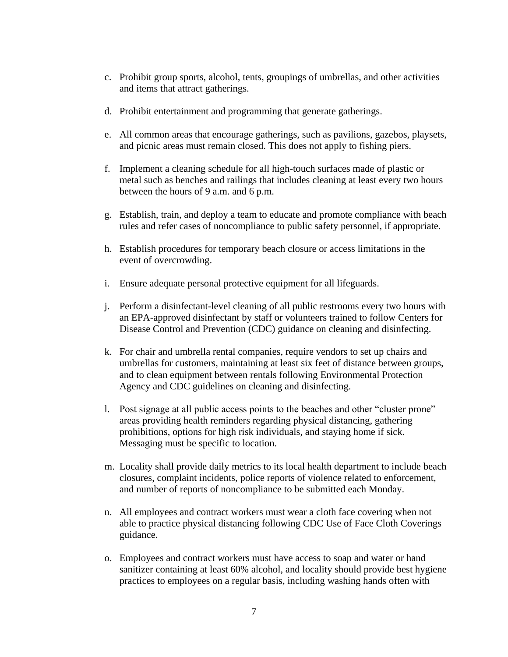- c. Prohibit group sports, alcohol, tents, groupings of umbrellas, and other activities and items that attract gatherings.
- d. Prohibit entertainment and programming that generate gatherings.
- e. All common areas that encourage gatherings, such as pavilions, gazebos, playsets, and picnic areas must remain closed. This does not apply to fishing piers.
- f. Implement a cleaning schedule for all high-touch surfaces made of plastic or metal such as benches and railings that includes cleaning at least every two hours between the hours of 9 a.m. and 6 p.m.
- g. Establish, train, and deploy a team to educate and promote compliance with beach rules and refer cases of noncompliance to public safety personnel, if appropriate.
- h. Establish procedures for temporary beach closure or access limitations in the event of overcrowding.
- i. Ensure adequate personal protective equipment for all lifeguards.
- j. Perform a disinfectant-level cleaning of all public restrooms every two hours with an EPA-approved disinfectant by staff or volunteers trained to follow Centers for Disease Control and Prevention (CDC) guidance on cleaning and disinfecting.
- k. For chair and umbrella rental companies, require vendors to set up chairs and umbrellas for customers, maintaining at least six feet of distance between groups, and to clean equipment between rentals following Environmental Protection Agency and CDC guidelines on cleaning and disinfecting.
- l. Post signage at all public access points to the beaches and other "cluster prone" areas providing health reminders regarding physical distancing, gathering prohibitions, options for high risk individuals, and staying home if sick. Messaging must be specific to location.
- m. Locality shall provide daily metrics to its local health department to include beach closures, complaint incidents, police reports of violence related to enforcement, and number of reports of noncompliance to be submitted each Monday.
- n. All employees and contract workers must wear a cloth face covering when not able to practice physical distancing following CDC Use of Face Cloth Coverings guidance.
- o. Employees and contract workers must have access to soap and water or hand sanitizer containing at least 60% alcohol, and locality should provide best hygiene practices to employees on a regular basis, including washing hands often with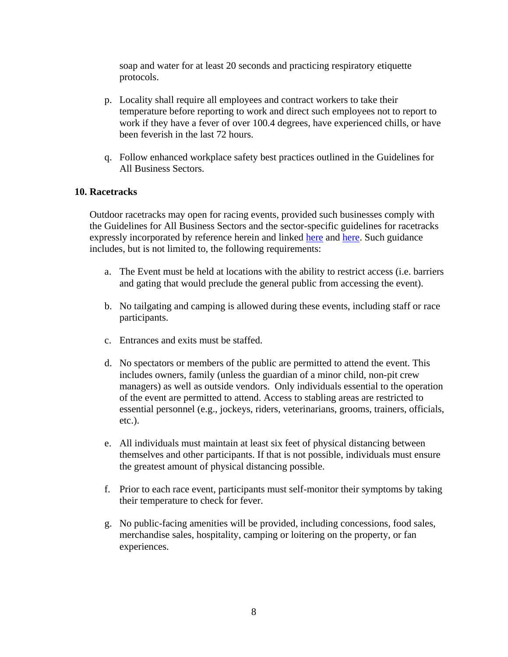soap and water for at least 20 seconds and practicing respiratory etiquette protocols.

- p. Locality shall require all employees and contract workers to take their temperature before reporting to work and direct such employees not to report to work if they have a fever of over 100.4 degrees, have experienced chills, or have been feverish in the last 72 hours.
- q. Follow enhanced workplace safety best practices outlined in the Guidelines for All Business Sectors.

## **10. Racetracks**

Outdoor racetracks may open for racing events, provided such businesses comply with the Guidelines for All Business Sectors and the sector-specific guidelines for racetracks expressly incorporated by reference [here](https://www.governor.virginia.gov/media/governorvirginiagov/governor-of-virginia/pdf/Virginia-Forward-Phase-One-Horse-Racing-Racetracks.pdf)in and linked here and [here.](https://www.governor.virginia.gov/media/governorvirginiagov/governor-of-virginia/pdf/Virginia-Forward-Phase-Outdoor-Speedways-and-Racetracks.pdf) Such guidance includes, but is not limited to, the following requirements:

- a. The Event must be held at locations with the ability to restrict access (i.e. barriers and gating that would preclude the general public from accessing the event).
- b. No tailgating and camping is allowed during these events, including staff or race participants.
- c. Entrances and exits must be staffed.
- d. No spectators or members of the public are permitted to attend the event. This includes owners, family (unless the guardian of a minor child, non-pit crew managers) as well as outside vendors. Only individuals essential to the operation of the event are permitted to attend. Access to stabling areas are restricted to essential personnel (e.g., jockeys, riders, veterinarians, grooms, trainers, officials, etc.).
- e. All individuals must maintain at least six feet of physical distancing between themselves and other participants. If that is not possible, individuals must ensure the greatest amount of physical distancing possible.
- f. Prior to each race event, participants must self-monitor their symptoms by taking their temperature to check for fever.
- g. No public-facing amenities will be provided, including concessions, food sales, merchandise sales, hospitality, camping or loitering on the property, or fan experiences.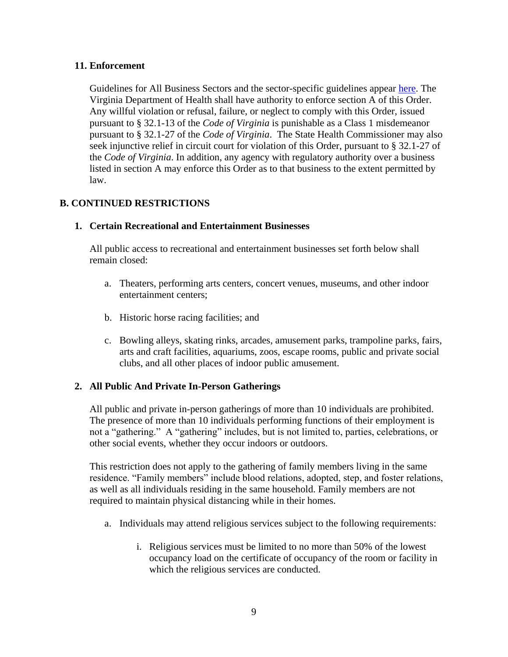## **11. Enforcement**

Guidelines for All Business Sectors and the sector-specific guidelines appear [here.](https://www.governor.virginia.gov/media/governorvirginiagov/governor-of-virginia/pdf/Virginia-Forward-Phase-One-Business-Sector-Guidelines.pdf) The Virginia Department of Health shall have authority to enforce section A of this Order. Any willful violation or refusal, failure, or neglect to comply with this Order, issued pursuant to § 32.1-13 of the *Code of Virginia* is punishable as a Class 1 misdemeanor pursuant to § 32.1-27 of the *Code of Virginia*. The State Health Commissioner may also seek injunctive relief in circuit court for violation of this Order, pursuant to § 32.1-27 of the *Code of Virginia*. In addition, any agency with regulatory authority over a business listed in section A may enforce this Order as to that business to the extent permitted by law.

# **B. CONTINUED RESTRICTIONS**

## **1. Certain Recreational and Entertainment Businesses**

All public access to recreational and entertainment businesses set forth below shall remain closed:

- a. Theaters, performing arts centers, concert venues, museums, and other indoor entertainment centers;
- b. Historic horse racing facilities; and
- c. Bowling alleys, skating rinks, arcades, amusement parks, trampoline parks, fairs, arts and craft facilities, aquariums, zoos, escape rooms, public and private social clubs, and all other places of indoor public amusement.

# **2. All Public And Private In-Person Gatherings**

All public and private in-person gatherings of more than 10 individuals are prohibited. The presence of more than 10 individuals performing functions of their employment is not a "gathering." A "gathering" includes, but is not limited to, parties, celebrations, or other social events, whether they occur indoors or outdoors.

This restriction does not apply to the gathering of family members living in the same residence. "Family members" include blood relations, adopted, step, and foster relations, as well as all individuals residing in the same household. Family members are not required to maintain physical distancing while in their homes.

- a. Individuals may attend religious services subject to the following requirements:
	- i. Religious services must be limited to no more than 50% of the lowest occupancy load on the certificate of occupancy of the room or facility in which the religious services are conducted.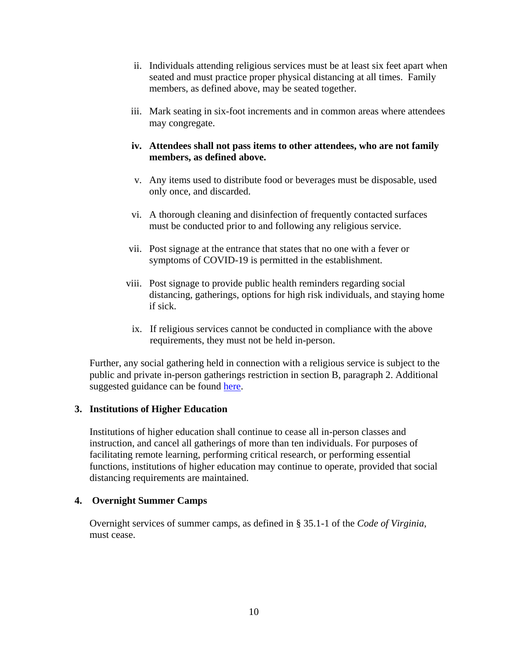- ii. Individuals attending religious services must be at least six feet apart when seated and must practice proper physical distancing at all times. Family members, as defined above, may be seated together.
- iii. Mark seating in six-foot increments and in common areas where attendees may congregate.

## **iv. Attendees shall not pass items to other attendees, who are not family members, as defined above.**

- v. Any items used to distribute food or beverages must be disposable, used only once, and discarded.
- vi. A thorough cleaning and disinfection of frequently contacted surfaces must be conducted prior to and following any religious service.
- vii. Post signage at the entrance that states that no one with a fever or symptoms of COVID-19 is permitted in the establishment.
- viii. Post signage to provide public health reminders regarding social distancing, gatherings, options for high risk individuals, and staying home if sick.
	- ix. If religious services cannot be conducted in compliance with the above requirements, they must not be held in-person.

Further, any social gathering held in connection with a religious service is subject to the public and private in-person gatherings restriction in section B, paragraph 2. Additional suggested guidance can be found [here.](https://www.governor.virginia.gov/media/governorvirginiagov/governor-of-virginia/pdf/Virginia-Forward-Phase-One-Religious-Services-Guidelines.pdf)

# **3. Institutions of Higher Education**

Institutions of higher education shall continue to cease all in-person classes and instruction, and cancel all gatherings of more than ten individuals. For purposes of facilitating remote learning, performing critical research, or performing essential functions, institutions of higher education may continue to operate, provided that social distancing requirements are maintained.

### **4. Overnight Summer Camps**

Overnight services of summer camps, as defined in § 35.1-1 of the *Code of Virginia*, must cease.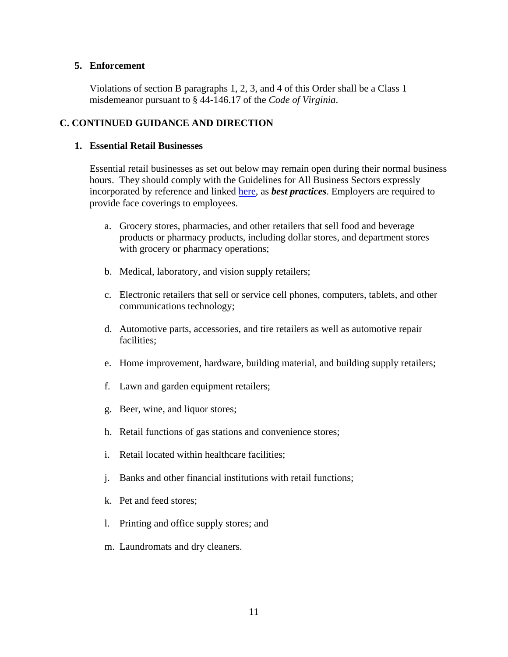### **5. Enforcement**

Violations of section B paragraphs 1, 2, 3, and 4 of this Order shall be a Class 1 misdemeanor pursuant to § 44-146.17 of the *Code of Virginia*.

# **C. CONTINUED GUIDANCE AND DIRECTION**

#### **1. Essential Retail Businesses**

Essential retail businesses as set out below may remain open during their normal business hours. They should comply with the Guidelines for All Business Sectors expressly incorporated by reference and linked [here,](https://www.governor.virginia.gov/media/governorvirginiagov/governor-of-virginia/pdf/Virginia-Forward-Phase-One-Business-Sector-Guidelines.pdf) as *best practices*. Employers are required to provide face coverings to employees.

- a. Grocery stores, pharmacies, and other retailers that sell food and beverage products or pharmacy products, including dollar stores, and department stores with grocery or pharmacy operations;
- b. Medical, laboratory, and vision supply retailers;
- c. Electronic retailers that sell or service cell phones, computers, tablets, and other communications technology;
- d. Automotive parts, accessories, and tire retailers as well as automotive repair facilities;
- e. Home improvement, hardware, building material, and building supply retailers;
- f. Lawn and garden equipment retailers;
- g. Beer, wine, and liquor stores;
- h. Retail functions of gas stations and convenience stores;
- i. Retail located within healthcare facilities;
- j. Banks and other financial institutions with retail functions;
- k. Pet and feed stores;
- l. Printing and office supply stores; and
- m. Laundromats and dry cleaners.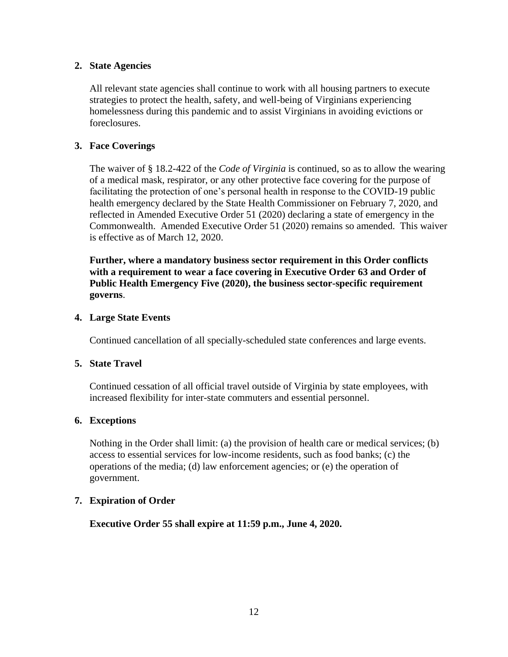## **2. State Agencies**

All relevant state agencies shall continue to work with all housing partners to execute strategies to protect the health, safety, and well-being of Virginians experiencing homelessness during this pandemic and to assist Virginians in avoiding evictions or foreclosures.

# **3. Face Coverings**

The waiver of § 18.2-422 of the *Code of Virginia* is continued, so as to allow the wearing of a medical mask, respirator, or any other protective face covering for the purpose of facilitating the protection of one's personal health in response to the COVID-19 public health emergency declared by the State Health Commissioner on February 7, 2020, and reflected in Amended Executive Order 51 (2020) declaring a state of emergency in the Commonwealth. Amended Executive Order 51 (2020) remains so amended. This waiver is effective as of March 12, 2020.

**Further, where a mandatory business sector requirement in this Order conflicts with a requirement to wear a face covering in Executive Order 63 and Order of Public Health Emergency Five (2020), the business sector-specific requirement governs**.

### **4. Large State Events**

Continued cancellation of all specially-scheduled state conferences and large events.

### **5. State Travel**

Continued cessation of all official travel outside of Virginia by state employees, with increased flexibility for inter-state commuters and essential personnel.

### **6. Exceptions**

Nothing in the Order shall limit: (a) the provision of health care or medical services; (b) access to essential services for low-income residents, such as food banks; (c) the operations of the media; (d) law enforcement agencies; or (e) the operation of government.

### **7. Expiration of Order**

**Executive Order 55 shall expire at 11:59 p.m., June 4, 2020.**